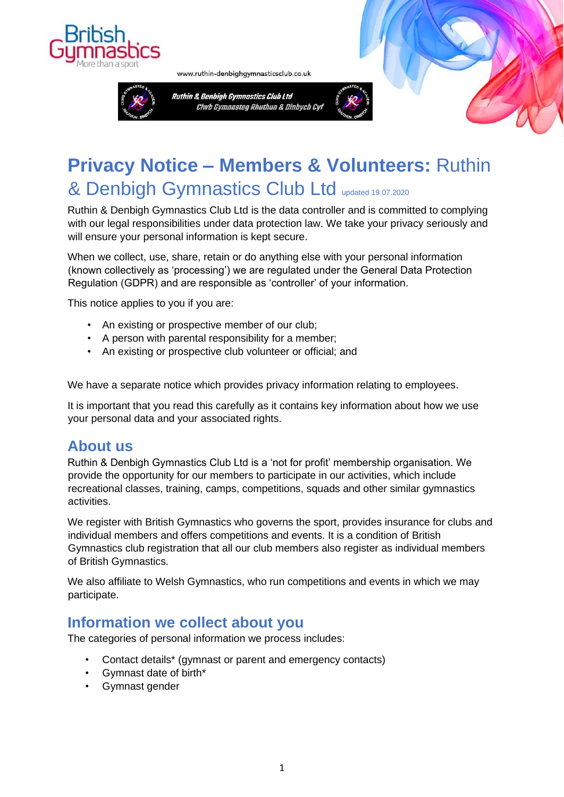



www.ruthin-denbighgymnasticsclub.co.uk



# **Privacy Notice – Members & Volunteers:** Ruthin & Denbigh Gymnastics Club Ltd updated 19.07.2020

Ruthin & Denbigh Gymnastics Club Ltd is the data controller and is committed to complying with our legal responsibilities under data protection law. We take your privacy seriously and will ensure your personal information is kept secure.

When we collect, use, share, retain or do anything else with your personal information (known collectively as 'processing') we are regulated under the General Data Protection Regulation (GDPR) and are responsible as 'controller' of your information.

This notice applies to you if you are:

- An existing or prospective member of our club;
- A person with parental responsibility for a member;
- An existing or prospective club volunteer or official; and

We have a separate notice which provides privacy information relating to employees.

It is important that you read this carefully as it contains key information about how we use your personal data and your associated rights.

### **About us**

Ruthin & Denbigh Gymnastics Club Ltd is a 'not for profit' membership organisation. We provide the opportunity for our members to participate in our activities, which include recreational classes, training, camps, competitions, squads and other similar gymnastics activities.

We register with British Gymnastics who governs the sport, provides insurance for clubs and individual members and offers competitions and events. It is a condition of British Gymnastics club registration that all our club members also register as individual members of British Gymnastics.

We also affiliate to Welsh Gymnastics, who run competitions and events in which we may participate.

### **Information we collect about you**

The categories of personal information we process includes:

- Contact details\* (gymnast or parent and emergency contacts)
- Gymnast date of birth\*
- Gymnast gender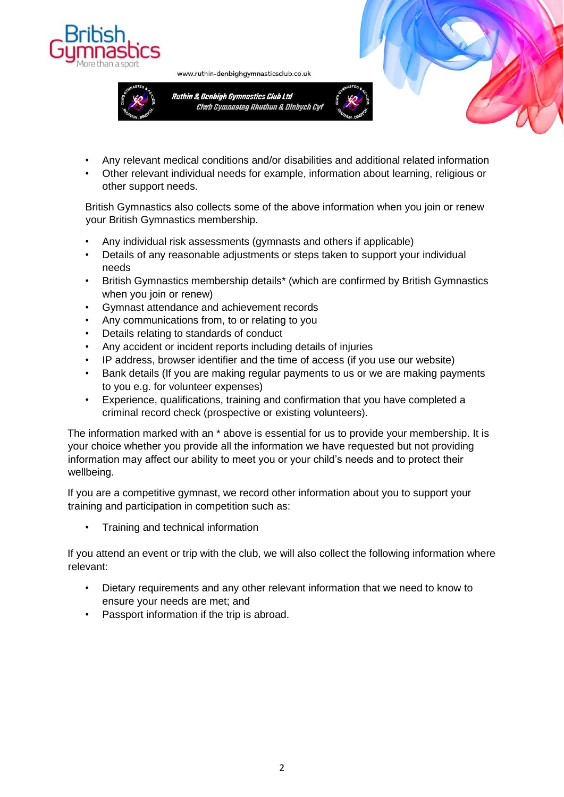



www.ruthin-denbighgymnasticsclub.co.uk

- 
- Any relevant medical conditions and/or disabilities and additional related information
- Other relevant individual needs for example, information about learning, religious or other support needs.

British Gymnastics also collects some of the above information when you join or renew your British Gymnastics membership.

- Any individual risk assessments (gymnasts and others if applicable)
- Details of any reasonable adjustments or steps taken to support your individual needs
- British Gymnastics membership details\* (which are confirmed by British Gymnastics when you join or renew)
- Gymnast attendance and achievement records
- Any communications from, to or relating to you
- Details relating to standards of conduct
- Any accident or incident reports including details of injuries
- IP address, browser identifier and the time of access (if you use our website)
- Bank details (If you are making regular payments to us or we are making payments to you e.g. for volunteer expenses)
- Experience, qualifications, training and confirmation that you have completed a criminal record check (prospective or existing volunteers).

The information marked with an \* above is essential for us to provide your membership. It is your choice whether you provide all the information we have requested but not providing information may affect our ability to meet you or your child's needs and to protect their wellbeing.

If you are a competitive gymnast, we record other information about you to support your training and participation in competition such as:

• Training and technical information

If you attend an event or trip with the club, we will also collect the following information where relevant:

- Dietary requirements and any other relevant information that we need to know to ensure your needs are met; and
- Passport information if the trip is abroad.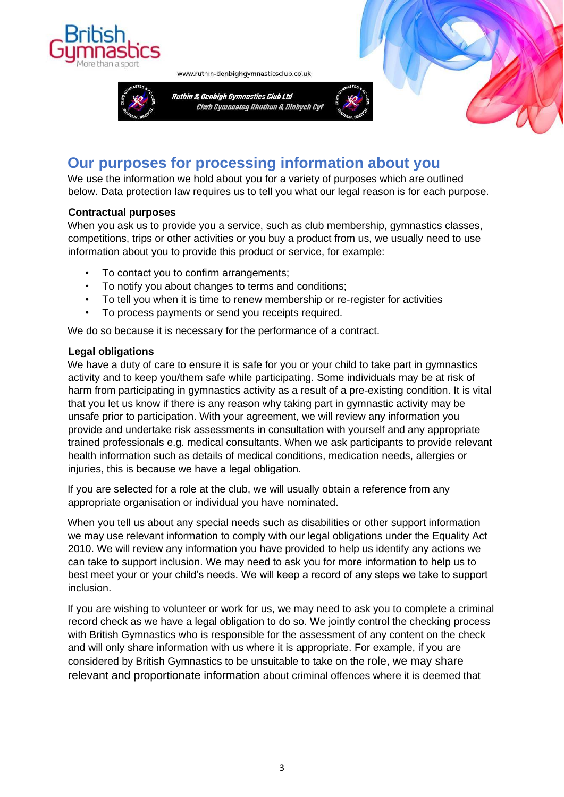

www.ruthin-denbighgymnasticsclub.co.uk



## **Our purposes for processing information about you**

We use the information we hold about you for a variety of purposes which are outlined below. Data protection law requires us to tell you what our legal reason is for each purpose.

### **Contractual purposes**

When you ask us to provide you a service, such as club membership, gymnastics classes, competitions, trips or other activities or you buy a product from us, we usually need to use information about you to provide this product or service, for example:

- To contact you to confirm arrangements;
- To notify you about changes to terms and conditions;
- To tell you when it is time to renew membership or re-register for activities
- To process payments or send you receipts required.

We do so because it is necessary for the performance of a contract.

### **Legal obligations**

We have a duty of care to ensure it is safe for you or your child to take part in gymnastics activity and to keep you/them safe while participating. Some individuals may be at risk of harm from participating in gymnastics activity as a result of a pre-existing condition. It is vital that you let us know if there is any reason why taking part in gymnastic activity may be unsafe prior to participation. With your agreement, we will review any information you provide and undertake risk assessments in consultation with yourself and any appropriate trained professionals e.g. medical consultants. When we ask participants to provide relevant health information such as details of medical conditions, medication needs, allergies or injuries, this is because we have a legal obligation.

If you are selected for a role at the club, we will usually obtain a reference from any appropriate organisation or individual you have nominated.

When you tell us about any special needs such as disabilities or other support information we may use relevant information to comply with our legal obligations under the Equality Act 2010. We will review any information you have provided to help us identify any actions we can take to support inclusion. We may need to ask you for more information to help us to best meet your or your child's needs. We will keep a record of any steps we take to support inclusion.

If you are wishing to volunteer or work for us, we may need to ask you to complete a criminal record check as we have a legal obligation to do so. We jointly control the checking process with British Gymnastics who is responsible for the assessment of any content on the check and will only share information with us where it is appropriate. For example, if you are considered by British Gymnastics to be unsuitable to take on the role, we may share relevant and proportionate information about criminal offences where it is deemed that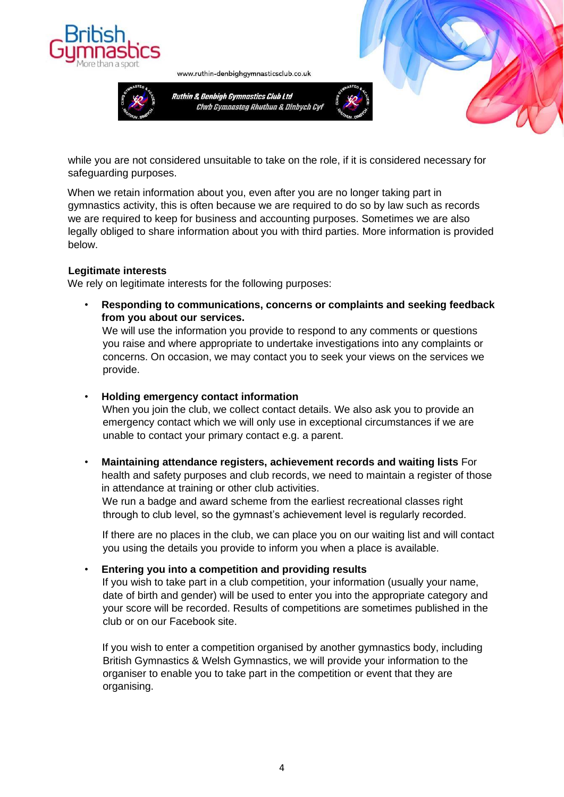

www.ruthin-denbighgymnasticsclub.co.uk



while you are not considered unsuitable to take on the role, if it is considered necessary for safeguarding purposes.

When we retain information about you, even after you are no longer taking part in gymnastics activity, this is often because we are required to do so by law such as records we are required to keep for business and accounting purposes. Sometimes we are also legally obliged to share information about you with third parties. More information is provided below.

#### **Legitimate interests**

We rely on legitimate interests for the following purposes:

• **Responding to communications, concerns or complaints and seeking feedback from you about our services.** 

We will use the information you provide to respond to any comments or questions you raise and where appropriate to undertake investigations into any complaints or concerns. On occasion, we may contact you to seek your views on the services we provide.

• **Holding emergency contact information** 

When you join the club, we collect contact details. We also ask you to provide an emergency contact which we will only use in exceptional circumstances if we are unable to contact your primary contact e.g. a parent.

• **Maintaining attendance registers, achievement records and waiting lists** For health and safety purposes and club records, we need to maintain a register of those in attendance at training or other club activities.

We run a badge and award scheme from the earliest recreational classes right through to club level, so the gymnast's achievement level is regularly recorded.

If there are no places in the club, we can place you on our waiting list and will contact you using the details you provide to inform you when a place is available.

#### • **Entering you into a competition and providing results**

If you wish to take part in a club competition, your information (usually your name, date of birth and gender) will be used to enter you into the appropriate category and your score will be recorded. Results of competitions are sometimes published in the club or on our Facebook site.

If you wish to enter a competition organised by another gymnastics body, including British Gymnastics & Welsh Gymnastics, we will provide your information to the organiser to enable you to take part in the competition or event that they are organising.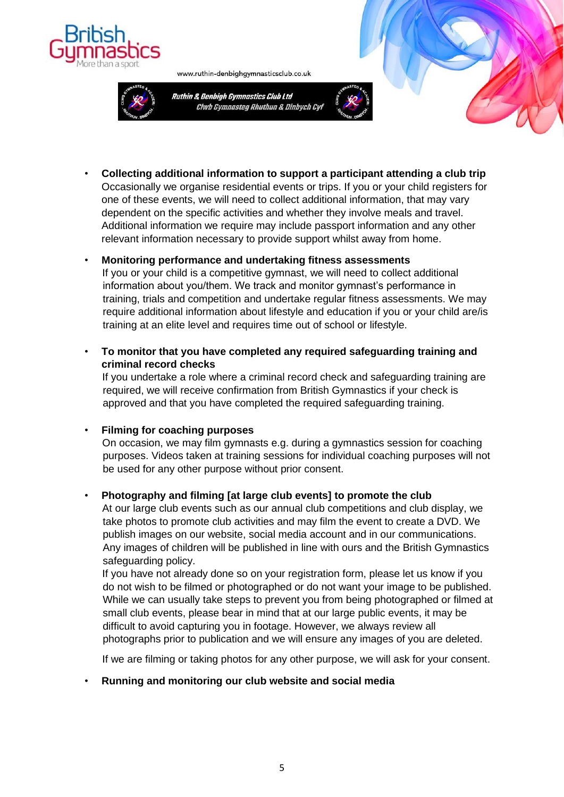



www.ruthin-denbighgymnasticsclub.co.uk



• **Collecting additional information to support a participant attending a club trip**  Occasionally we organise residential events or trips. If you or your child registers for one of these events, we will need to collect additional information, that may vary dependent on the specific activities and whether they involve meals and travel. Additional information we require may include passport information and any other relevant information necessary to provide support whilst away from home.

#### • **Monitoring performance and undertaking fitness assessments**

If you or your child is a competitive gymnast, we will need to collect additional information about you/them. We track and monitor gymnast's performance in training, trials and competition and undertake regular fitness assessments. We may require additional information about lifestyle and education if you or your child are/is training at an elite level and requires time out of school or lifestyle.

• **To monitor that you have completed any required safeguarding training and criminal record checks** 

If you undertake a role where a criminal record check and safeguarding training are required, we will receive confirmation from British Gymnastics if your check is approved and that you have completed the required safeguarding training.

#### • **Filming for coaching purposes**

On occasion, we may film gymnasts e.g. during a gymnastics session for coaching purposes. Videos taken at training sessions for individual coaching purposes will not be used for any other purpose without prior consent.

#### • **Photography and filming [at large club events] to promote the club**

At our large club events such as our annual club competitions and club display, we take photos to promote club activities and may film the event to create a DVD. We publish images on our website, social media account and in our communications. Any images of children will be published in line with ours and the British Gymnastics safeguarding policy.

If you have not already done so on your registration form, please let us know if you do not wish to be filmed or photographed or do not want your image to be published. While we can usually take steps to prevent you from being photographed or filmed at small club events, please bear in mind that at our large public events, it may be difficult to avoid capturing you in footage. However, we always review all photographs prior to publication and we will ensure any images of you are deleted.

If we are filming or taking photos for any other purpose, we will ask for your consent.

#### • **Running and monitoring our club website and social media**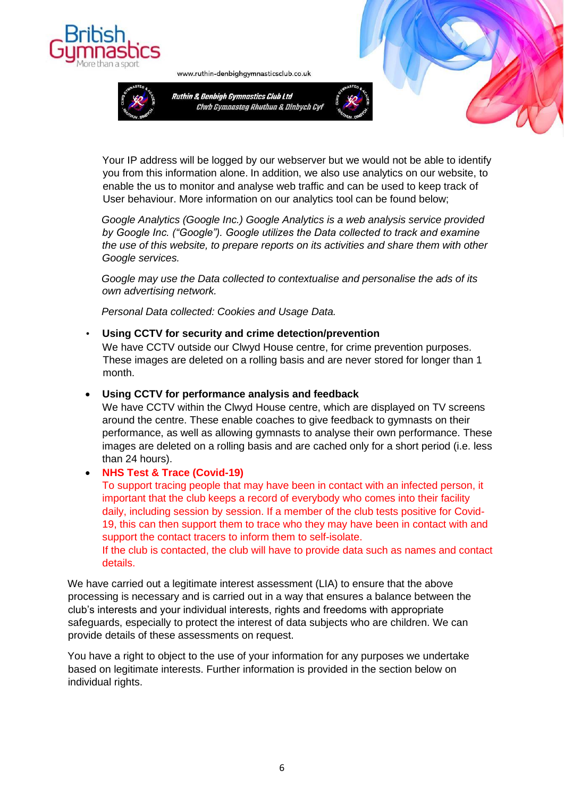



www.ruthin-denbighgymnasticsclub.co.uk



Your IP address will be logged by our webserver but we would not be able to identify you from this information alone. In addition, we also use analytics on our website, to enable the us to monitor and analyse web traffic and can be used to keep track of User behaviour. More information on our analytics tool can be found below;

*Google Analytics (Google Inc.) Google Analytics is a web analysis service provided by Google Inc. ("Google"). Google utilizes the Data collected to track and examine the use of this website, to prepare reports on its activities and share them with other Google services.* 

*Google may use the Data collected to contextualise and personalise the ads of its own advertising network.* 

*Personal Data collected: Cookies and Usage Data.* 

• **Using CCTV for security and crime detection/prevention** 

We have CCTV outside our Clwyd House centre, for crime prevention purposes. These images are deleted on a rolling basis and are never stored for longer than 1 month.

#### • **Using CCTV for performance analysis and feedback**

We have CCTV within the Clwyd House centre, which are displayed on TV screens around the centre. These enable coaches to give feedback to gymnasts on their performance, as well as allowing gymnasts to analyse their own performance. These images are deleted on a rolling basis and are cached only for a short period (i.e. less than 24 hours).

#### • **NHS Test & Trace (Covid-19)**

To support tracing people that may have been in contact with an infected person, it important that the club keeps a record of everybody who comes into their facility daily, including session by session. If a member of the club tests positive for Covid-19, this can then support them to trace who they may have been in contact with and support the contact tracers to inform them to self-isolate.

If the club is contacted, the club will have to provide data such as names and contact details.

We have carried out a legitimate interest assessment (LIA) to ensure that the above processing is necessary and is carried out in a way that ensures a balance between the club's interests and your individual interests, rights and freedoms with appropriate safeguards, especially to protect the interest of data subjects who are children. We can provide details of these assessments on request.

You have a right to object to the use of your information for any purposes we undertake based on legitimate interests. Further information is provided in the section below on individual rights.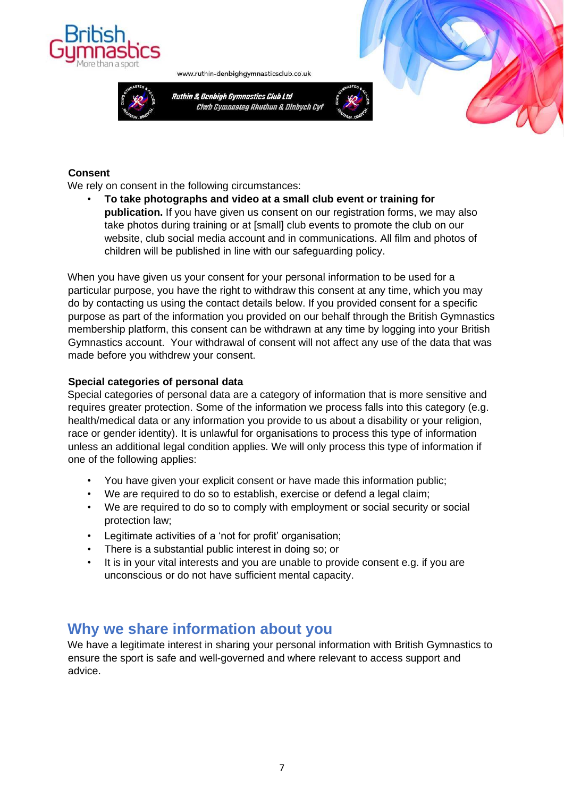



www.ruthin-denbighgymnasticsclub.co.uk



#### **Consent**

We rely on consent in the following circumstances:

• **To take photographs and video at a small club event or training for publication.** If you have given us consent on our registration forms, we may also take photos during training or at [small] club events to promote the club on our website, club social media account and in communications. All film and photos of children will be published in line with our safeguarding policy.

When you have given us your consent for your personal information to be used for a particular purpose, you have the right to withdraw this consent at any time, which you may do by contacting us using the contact details below. If you provided consent for a specific purpose as part of the information you provided on our behalf through the British Gymnastics membership platform, this consent can be withdrawn at any time by logging into your British Gymnastics account. Your withdrawal of consent will not affect any use of the data that was made before you withdrew your consent.

#### **Special categories of personal data**

Special categories of personal data are a category of information that is more sensitive and requires greater protection. Some of the information we process falls into this category (e.g. health/medical data or any information you provide to us about a disability or your religion, race or gender identity). It is unlawful for organisations to process this type of information unless an additional legal condition applies. We will only process this type of information if one of the following applies:

- You have given your explicit consent or have made this information public;
- We are required to do so to establish, exercise or defend a legal claim;
- We are required to do so to comply with employment or social security or social protection law;
- Legitimate activities of a 'not for profit' organisation;
- There is a substantial public interest in doing so; or
- It is in your vital interests and you are unable to provide consent e.g. if you are unconscious or do not have sufficient mental capacity.

### **Why we share information about you**

We have a legitimate interest in sharing your personal information with British Gymnastics to ensure the sport is safe and well-governed and where relevant to access support and advice.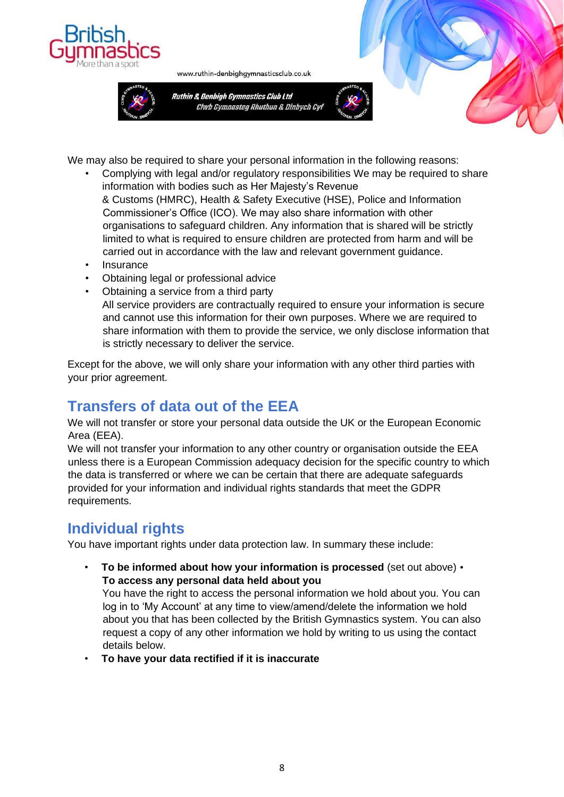



www.ruthin-denbighgymnasticsclub.co.uk



We may also be required to share your personal information in the following reasons:

- Complying with legal and/or regulatory responsibilities We may be required to share information with bodies such as Her Majesty's Revenue & Customs (HMRC), Health & Safety Executive (HSE), Police and Information Commissioner's Office (ICO). We may also share information with other organisations to safeguard children. Any information that is shared will be strictly limited to what is required to ensure children are protected from harm and will be carried out in accordance with the law and relevant government guidance.
- **Insurance**
- Obtaining legal or professional advice
- Obtaining a service from a third party All service providers are contractually required to ensure your information is secure and cannot use this information for their own purposes. Where we are required to share information with them to provide the service, we only disclose information that is strictly necessary to deliver the service.

Except for the above, we will only share your information with any other third parties with your prior agreement.

### **Transfers of data out of the EEA**

We will not transfer or store your personal data outside the UK or the European Economic Area (EEA).

We will not transfer your information to any other country or organisation outside the EEA unless there is a European Commission adequacy decision for the specific country to which the data is transferred or where we can be certain that there are adequate safeguards provided for your information and individual rights standards that meet the GDPR requirements.

### **Individual rights**

You have important rights under data protection law. In summary these include:

• **To be informed about how your information is processed** (set out above) • **To access any personal data held about you** 

You have the right to access the personal information we hold about you. You can log in to 'My Account' at any time to view/amend/delete the information we hold about you that has been collected by the British Gymnastics system. You can also request a copy of any other information we hold by writing to us using the contact details below.

• **To have your data rectified if it is inaccurate**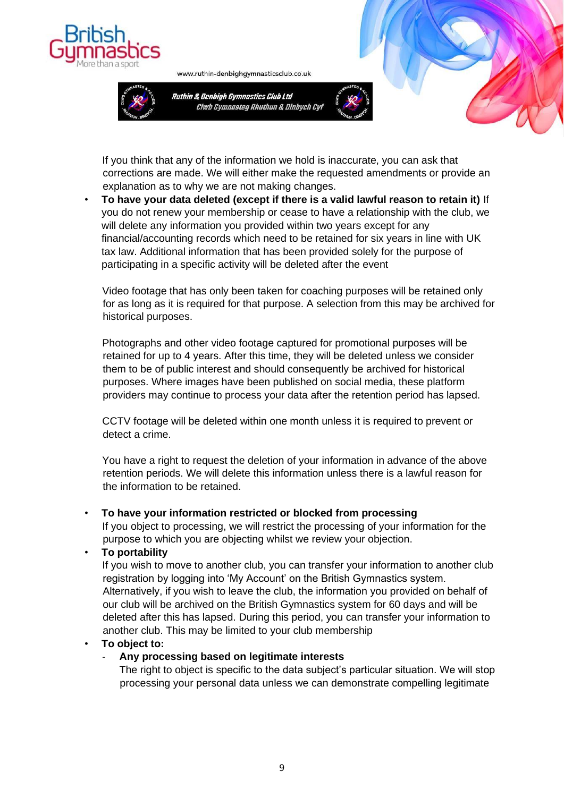



www.ruthin-denbighgymnasticsclub.co.uk



If you think that any of the information we hold is inaccurate, you can ask that corrections are made. We will either make the requested amendments or provide an explanation as to why we are not making changes.

• **To have your data deleted (except if there is a valid lawful reason to retain it)** If you do not renew your membership or cease to have a relationship with the club, we will delete any information you provided within two years except for any financial/accounting records which need to be retained for six years in line with UK tax law. Additional information that has been provided solely for the purpose of participating in a specific activity will be deleted after the event

Video footage that has only been taken for coaching purposes will be retained only for as long as it is required for that purpose. A selection from this may be archived for historical purposes.

Photographs and other video footage captured for promotional purposes will be retained for up to 4 years. After this time, they will be deleted unless we consider them to be of public interest and should consequently be archived for historical purposes. Where images have been published on social media, these platform providers may continue to process your data after the retention period has lapsed.

CCTV footage will be deleted within one month unless it is required to prevent or detect a crime.

You have a right to request the deletion of your information in advance of the above retention periods. We will delete this information unless there is a lawful reason for the information to be retained.

#### • **To have your information restricted or blocked from processing**

If you object to processing, we will restrict the processing of your information for the purpose to which you are objecting whilst we review your objection.

#### • **To portability**

If you wish to move to another club, you can transfer your information to another club registration by logging into 'My Account' on the British Gymnastics system. Alternatively, if you wish to leave the club, the information you provided on behalf of our club will be archived on the British Gymnastics system for 60 days and will be deleted after this has lapsed. During this period, you can transfer your information to another club. This may be limited to your club membership

#### • **To object to:**

#### - **Any processing based on legitimate interests**

The right to object is specific to the data subject's particular situation. We will stop processing your personal data unless we can demonstrate compelling legitimate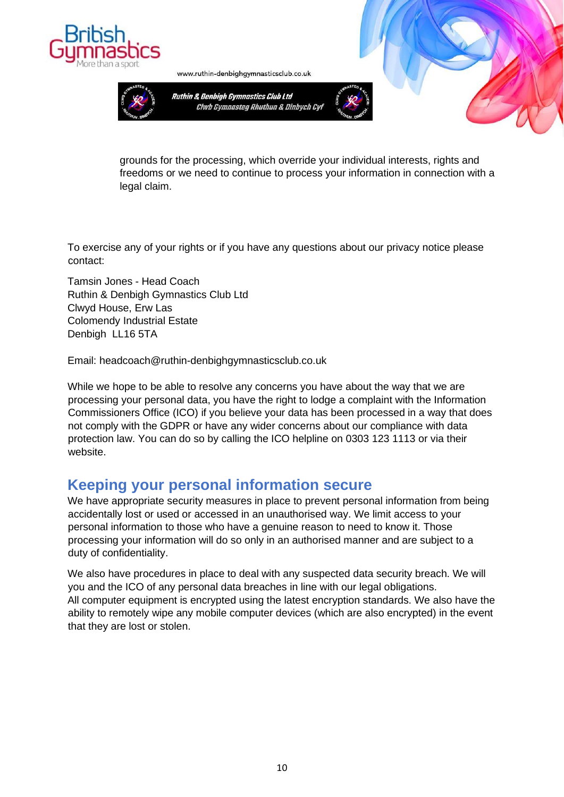



www.ruthin-denbighgymnasticsclub.co.uk



grounds for the processing, which override your individual interests, rights and freedoms or we need to continue to process your information in connection with a legal claim.

To exercise any of your rights or if you have any questions about our privacy notice please contact:

Tamsin Jones - Head Coach Ruthin & Denbigh Gymnastics Club Ltd Clwyd House, Erw Las Colomendy Industrial Estate Denbigh LL16 5TA

Email: headcoach@ruthin-denbighgymnasticsclub.co.uk

While we hope to be able to resolve any concerns you have about the way that we are processing your personal data, you have the right to lodge a complaint with the Information Commissioners Office (ICO) if you believe your data has been processed in a way that does not comply with the GDPR or have any wider concerns about our compliance with data protection law. You can do so by calling the ICO helpline on 0303 123 1113 or via their website.

### **Keeping your personal information secure**

We have appropriate security measures in place to prevent personal information from being accidentally lost or used or accessed in an unauthorised way. We limit access to your personal information to those who have a genuine reason to need to know it. Those processing your information will do so only in an authorised manner and are subject to a duty of confidentiality.

We also have procedures in place to deal with any suspected data security breach. We will you and the ICO of any personal data breaches in line with our legal obligations. All computer equipment is encrypted using the latest encryption standards. We also have the ability to remotely wipe any mobile computer devices (which are also encrypted) in the event that they are lost or stolen.